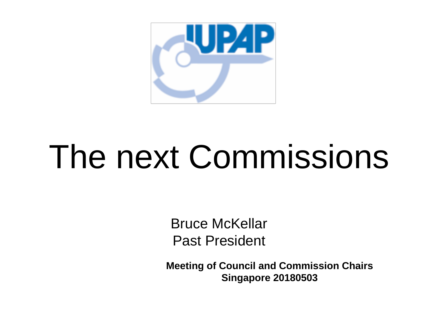

### The next Commissions

Bruce McKellar Past President

**Meeting of Council and Commission Chairs Singapore 20180503**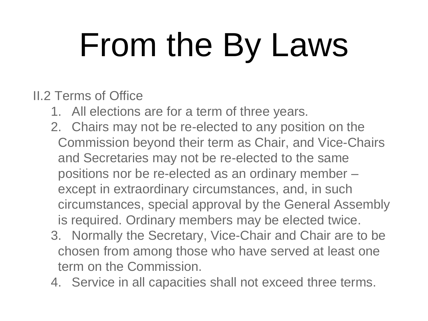# From the By Laws

#### II.2 Terms of Office

- 1. All elections are for a term of three years.
- 2. Chairs may not be re-elected to any position on the Commission beyond their term as Chair, and Vice-Chairs and Secretaries may not be re-elected to the same positions nor be re-elected as an ordinary member – except in extraordinary circumstances, and, in such circumstances, special approval by the General Assembly is required. Ordinary members may be elected twice.
- 3. Normally the Secretary, Vice-Chair and Chair are to be chosen from among those who have served at least one term on the Commission.
- 4. Service in all capacities shall not exceed three terms.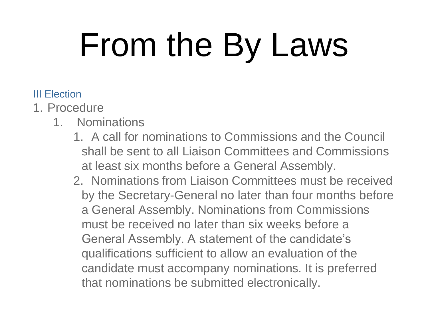# From the By Laws

- III Election
- 1. Procedure
	- 1. Nominations
		- 1. A call for nominations to Commissions and the Council shall be sent to all Liaison Committees and Commissions at least six months before a General Assembly.
		- 2. Nominations from Liaison Committees must be received by the Secretary-General no later than four months before a General Assembly. Nominations from Commissions must be received no later than six weeks before a General Assembly. A statement of the candidate's qualifications sufficient to allow an evaluation of the candidate must accompany nominations. It is preferred that nominations be submitted electronically.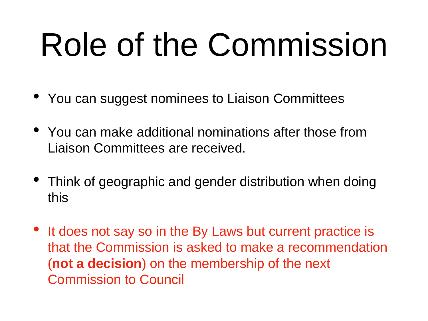#### Role of the Commission

- You can suggest nominees to Liaison Committees
- You can make additional nominations after those from Liaison Committees are received.
- Think of geographic and gender distribution when doing this
- It does not say so in the By Laws but current practice is that the Commission is asked to make a recommendation (**not a decision**) on the membership of the next Commission to Council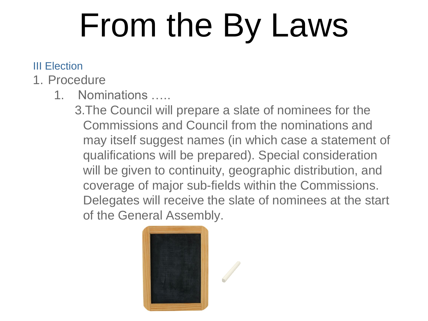## From the By Laws

#### III Election

- 1. Procedure
	- 1. Nominations …..

3.The Council will prepare a slate of nominees for the Commissions and Council from the nominations and may itself suggest names (in which case a statement of qualifications will be prepared). Special consideration will be given to continuity, geographic distribution, and coverage of major sub-fields within the Commissions. Delegates will receive the slate of nominees at the start of the General Assembly.

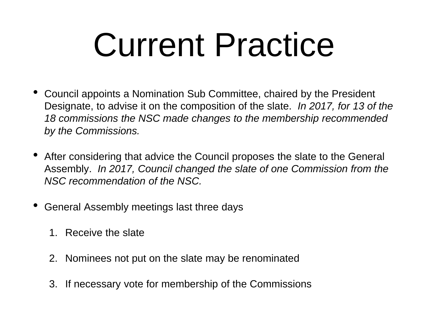#### Current Practice

- Council appoints a Nomination Sub Committee, chaired by the President Designate, to advise it on the composition of the slate. *In 2017, for 13 of the 18 commissions the NSC made changes to the membership recommended by the Commissions.*
- After considering that advice the Council proposes the slate to the General Assembly. *In 2017, Council changed the slate of one Commission from the NSC recommendation of the NSC.*
- General Assembly meetings last three days
	- 1. Receive the slate
	- 2. Nominees not put on the slate may be renominated
	- 3. If necessary vote for membership of the Commissions